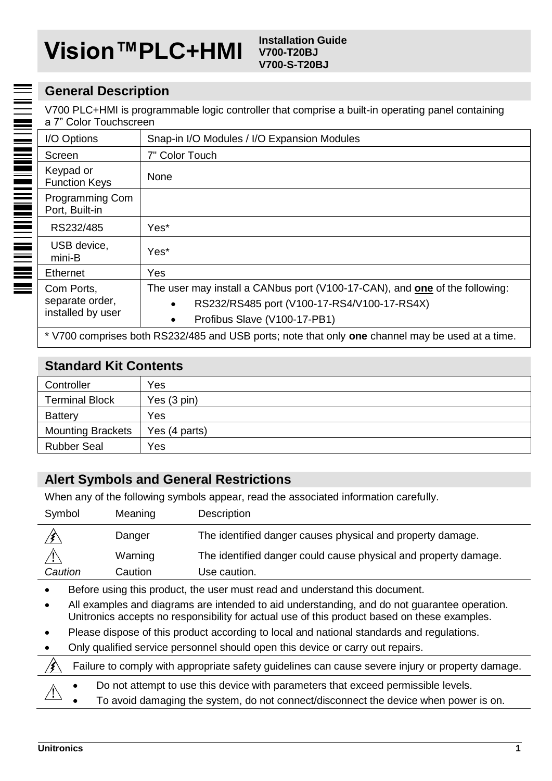# **Vision™PLC+HMI Installation Guide**

**V700-T20BJ V700-S-T20BJ**

# **General Description**

III III III III IIIII IIII III IIII III III III III

V700 PLC+HMI is programmable logic controller that comprise a built-in operating panel containing a 7" Color Touchscreen

| I/O Options                                        | Snap-in I/O Modules / I/O Expansion Modules                                                                                                                                         |
|----------------------------------------------------|-------------------------------------------------------------------------------------------------------------------------------------------------------------------------------------|
| Screen                                             | 7" Color Touch                                                                                                                                                                      |
| Keypad or<br><b>Function Kevs</b>                  | None                                                                                                                                                                                |
| Programming Com<br>Port. Built-in                  |                                                                                                                                                                                     |
| RS232/485                                          | Yes*                                                                                                                                                                                |
| USB device.<br>mini-B                              | Yes*                                                                                                                                                                                |
| Ethernet                                           | Yes                                                                                                                                                                                 |
| Com Ports.<br>separate order,<br>installed by user | The user may install a CANbus port (V100-17-CAN), and <b>one</b> of the following:<br>RS232/RS485 port (V100-17-RS4/V100-17-RS4X)<br>$\bullet$<br>Profibus Slave (V100-17-PB1)<br>٠ |
|                                                    | * V700 comprises both RS232/485 and USB ports; note that only one channel may be used at a time.                                                                                    |

# **Standard Kit Contents**

| Controller               | Yes           |
|--------------------------|---------------|
| <b>Terminal Block</b>    | Yes (3 pin)   |
| Battery                  | Yes           |
| <b>Mounting Brackets</b> | Yes (4 parts) |
| <b>Rubber Seal</b>       | Yes           |

# **Alert Symbols and General Restrictions**

When any of the following symbols appear, read the associated information carefully.

| Symbol                                                                                                                                                                                       | Meaning | Description                                                                          |  |  |  |
|----------------------------------------------------------------------------------------------------------------------------------------------------------------------------------------------|---------|--------------------------------------------------------------------------------------|--|--|--|
|                                                                                                                                                                                              | Danger  | The identified danger causes physical and property damage.                           |  |  |  |
|                                                                                                                                                                                              | Warning | The identified danger could cause physical and property damage.                      |  |  |  |
| Caution                                                                                                                                                                                      | Caution | Use caution.                                                                         |  |  |  |
|                                                                                                                                                                                              |         | Before using this product, the user must read and understand this document.          |  |  |  |
| All examples and diagrams are intended to aid understanding, and do not guarantee operation.<br>Unitronics accepts no responsibility for actual use of this product based on these examples. |         |                                                                                      |  |  |  |
| Please dispose of this product according to local and national standards and regulations.                                                                                                    |         |                                                                                      |  |  |  |
| Only qualified service personnel should open this device or carry out repairs.                                                                                                               |         |                                                                                      |  |  |  |
| Failure to comply with appropriate safety guidelines can cause severe injury or property damage.                                                                                             |         |                                                                                      |  |  |  |
|                                                                                                                                                                                              |         | Do not attempt to use this device with parameters that exceed permissible levels.    |  |  |  |
|                                                                                                                                                                                              |         | To avoid damaging the system, do not connect/disconnect the device when power is on. |  |  |  |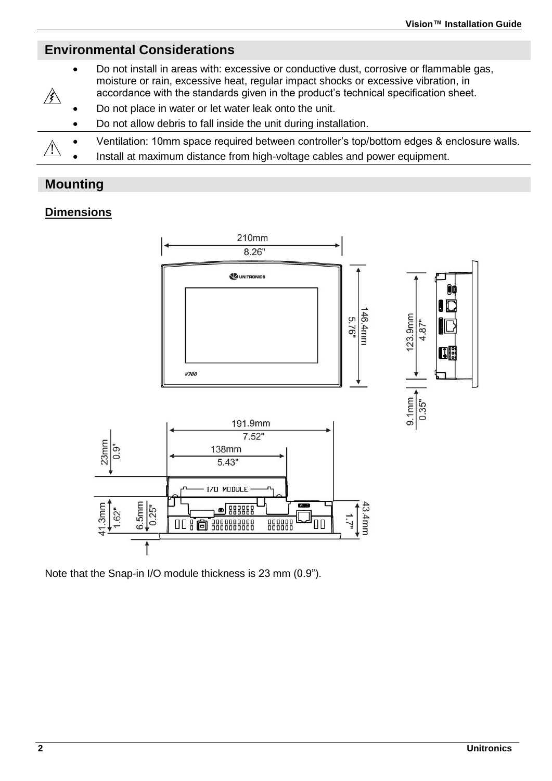# **Environmental Considerations**

- Do not install in areas with: excessive or conductive dust, corrosive or flammable gas, moisture or rain, excessive heat, regular impact shocks or excessive vibration, in accordance with the standards given in the product's technical specification sheet.
- Do not place in water or let water leak onto the unit.
- Do not allow debris to fall inside the unit during installation.
- Ventilation: 10mm space required between controller's top/bottom edges & enclosure walls. ΛN
- Install at maximum distance from high-voltage cables and power equipment.

# **Mounting**

*∖* 

# **Dimensions**



Note that the Snap-in I/O module thickness is 23 mm (0.9").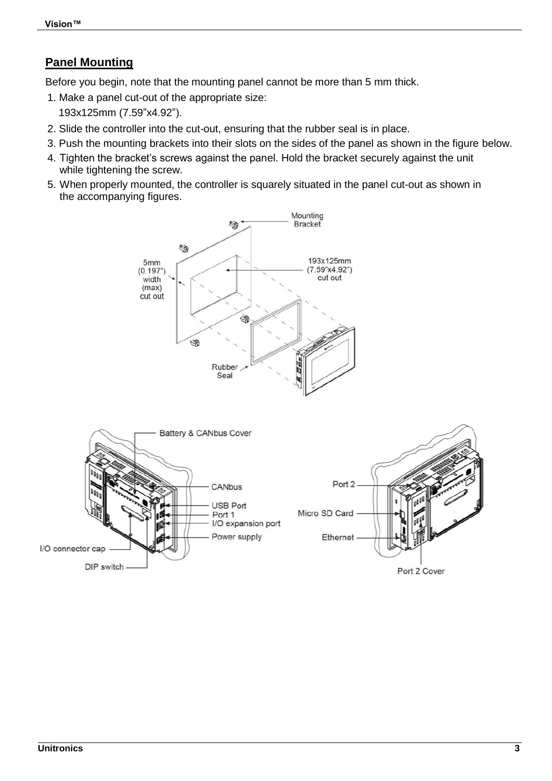# **Panel Mounting**

Before you begin, note that the mounting panel cannot be more than 5 mm thick.

- 1. Make a panel cut-out of the appropriate size: 193x125mm (7.59"x4.92").
- 2. Slide the controller into the cut-out, ensuring that the rubber seal is in place.
- 3. Push the mounting brackets into their slots on the sides of the panel as shown in the figure below.
- 4. Tighten the bracket's screws against the panel. Hold the bracket securely against the unit while tightening the screw.
- 5. When properly mounted, the controller is squarely situated in the panel cut-out as shown in the accompanying figures.

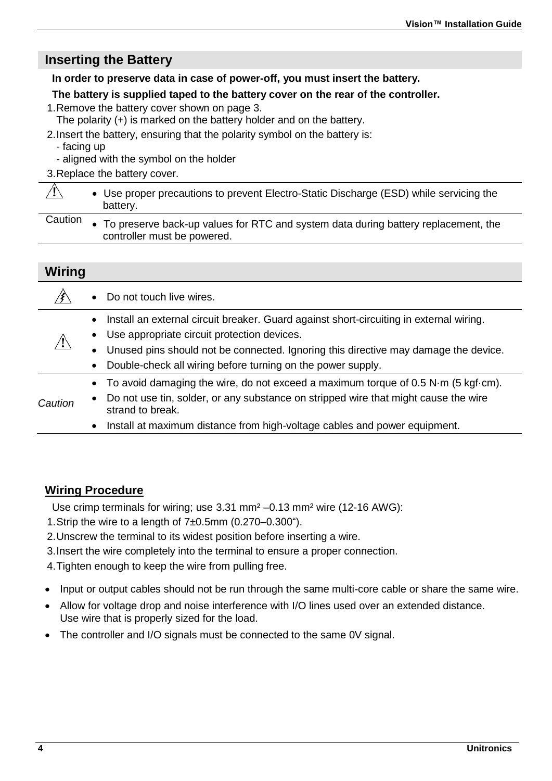# **Inserting the Battery**

#### **In order to preserve data in case of power-off, you must insert the battery.**

#### **The battery is supplied taped to the battery cover on the rear of the controller.**

1.Remove the battery cover shown on page 3.

The polarity (+) is marked on the battery holder and on the battery.

2.Insert the battery, ensuring that the polarity symbol on the battery is:

- facing up

- aligned with the symbol on the holder

3.Replace the battery cover.

|         | • Use proper precautions to prevent Electro-Static Discharge (ESD) while servicing the<br>battery.                  |
|---------|---------------------------------------------------------------------------------------------------------------------|
| Caution | • To preserve back-up values for RTC and system data during battery replacement, the<br>controller must be powered. |

# **Wiring**

|         | Do not touch live wires.<br>$\bullet$                                                                                                                                                                                                                                                                                                            |
|---------|--------------------------------------------------------------------------------------------------------------------------------------------------------------------------------------------------------------------------------------------------------------------------------------------------------------------------------------------------|
|         | Install an external circuit breaker. Guard against short-circuiting in external wiring.<br>$\bullet$<br>Use appropriate circuit protection devices.<br>$\bullet$<br>Unused pins should not be connected. Ignoring this directive may damage the device.<br>$\bullet$<br>Double-check all wiring before turning on the power supply.<br>$\bullet$ |
| Caution | • To avoid damaging the wire, do not exceed a maximum torque of 0.5 N $\cdot$ m (5 kgf $\cdot$ cm).<br>Do not use tin, solder, or any substance on stripped wire that might cause the wire<br>$\bullet$<br>strand to break.<br>Install at maximum distance from high-voltage cables and power equipment.<br>٠                                    |

# **Wiring Procedure**

Use crimp terminals for wiring; use 3.31 mm² –0.13 mm² wire (12-16 AWG):

1.Strip the wire to a length of 7±0.5mm (0.270–0.300").

2.Unscrew the terminal to its widest position before inserting a wire.

3.Insert the wire completely into the terminal to ensure a proper connection.

4.Tighten enough to keep the wire from pulling free.

- Input or output cables should not be run through the same multi-core cable or share the same wire.
- Allow for voltage drop and noise interference with I/O lines used over an extended distance. Use wire that is properly sized for the load.
- The controller and I/O signals must be connected to the same 0V signal.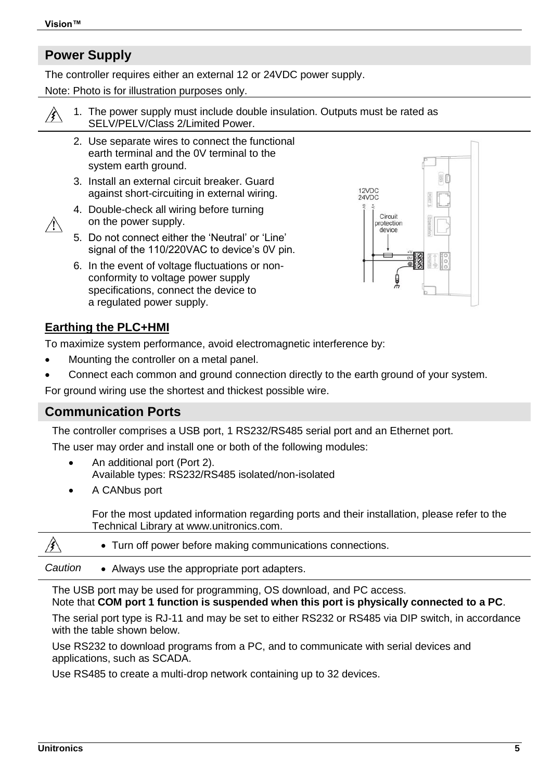# **Power Supply**

The controller requires either an external 12 or 24VDC power supply.

Note: Photo is for illustration purposes only.



1. The power supply must include double insulation. Outputs must be rated as SELV/PELV/Class 2/Limited Power.

- 2. Use separate wires to connect the functional earth terminal and the 0V terminal to the system earth ground.
- 3. Install an external circuit breaker. Guard against short-circuiting in external wiring.
- 
- 4. Double-check all wiring before turning on the power supply.
- 5. Do not connect either the 'Neutral' or 'Line' signal of the 110/220VAC to device's 0V pin.
- 6. In the event of voltage fluctuations or nonconformity to voltage power supply specifications, connect the device to a regulated power supply.



# **Earthing the PLC+HMI**

To maximize system performance, avoid electromagnetic interference by:

- Mounting the controller on a metal panel.
- Connect each common and ground connection directly to the earth ground of your system.

For ground wiring use the shortest and thickest possible wire.

# **Communication Ports**

The controller comprises a USB port, 1 RS232/RS485 serial port and an Ethernet port.

The user may order and install one or both of the following modules:

- An additional port (Port 2). Available types: RS232/RS485 isolated/non-isolated
- A CANbus port

For the most updated information regarding ports and their installation, please refer to the Technical Library at www.unitronics.com.

∕≰ Turn off power before making communications connections.

*Caution* Always use the appropriate port adapters.

The USB port may be used for programming, OS download, and PC access. Note that **COM port 1 function is suspended when this port is physically connected to a PC**.

The serial port type is RJ-11 and may be set to either RS232 or RS485 via DIP switch, in accordance with the table shown below.

Use RS232 to download programs from a PC, and to communicate with serial devices and applications, such as SCADA.

Use RS485 to create a multi-drop network containing up to 32 devices.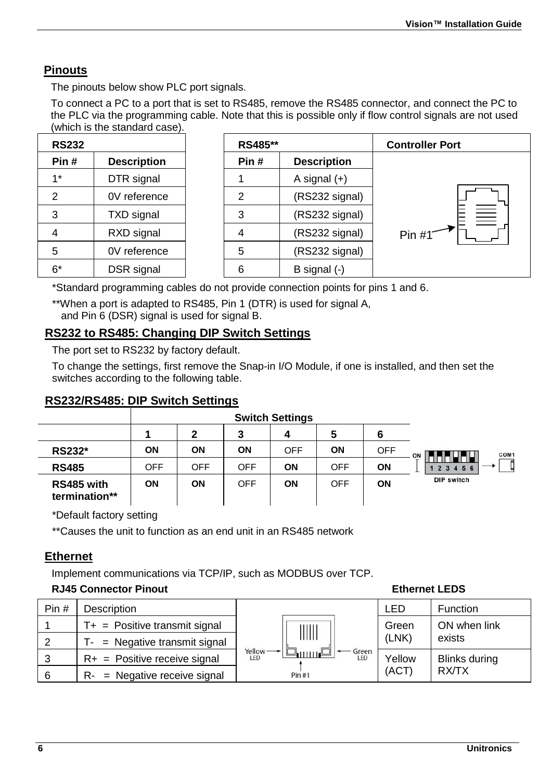# **Pinouts**

The pinouts below show PLC port signals.

To connect a PC to a port that is set to RS485, remove the RS485 connector, and connect the PC to the PLC via the programming cable. Note that this is possible only if flow control signals are not used (which is the standard case).

| <b>RS232</b>   |                    | RS485**                    |                | <b>Controller Port</b> |  |
|----------------|--------------------|----------------------------|----------------|------------------------|--|
| Pin#           | <b>Description</b> | Pin#<br><b>Description</b> |                |                        |  |
| $1^*$          | DTR signal         |                            | A signal $(+)$ |                        |  |
| $\overline{2}$ | 0V reference       | 2                          | (RS232 signal) |                        |  |
| 3              | TXD signal         | 3                          | (RS232 signal) | $\equiv$               |  |
| 4              | RXD signal         | 4                          | (RS232 signal) | Pin $#1$               |  |
| 5              | 0V reference       | 5                          | (RS232 signal) |                        |  |
| $6*$           | DSR signal         | 6                          | B signal (-)   |                        |  |

\*Standard programming cables do not provide connection points for pins 1 and 6.

\*\*When a port is adapted to RS485, Pin 1 (DTR) is used for signal A, and Pin 6 (DSR) signal is used for signal B.

#### **RS232 to RS485: Changing DIP Switch Settings**

The port set to RS232 by factory default.

To change the settings, first remove the Snap-in I/O Module, if one is installed, and then set the switches according to the following table.

# **RS232/RS485: DIP Switch Settings**

|                             | <b>Switch Settings</b> |            |            |     |     |            |                         |
|-----------------------------|------------------------|------------|------------|-----|-----|------------|-------------------------|
|                             |                        | 2          | 3          | 4   | 5   | 6          |                         |
| RS232*                      | ΟN                     | ON         | ON         | OFF | ON  | <b>OFF</b> | COM1<br>ON              |
| <b>RS485</b>                | OFF                    | <b>OFF</b> | <b>OFF</b> | ΟN  | OFF | ON         | 2 3 4 5 6<br>DIP switch |
| RS485 with<br>termination** | ΟN                     | ON         | <b>OFF</b> | ΟN  | OFF | ON         |                         |

\*Default factory setting

\*\*Causes the unit to function as an end unit in an RS485 network

#### **Ethernet**

Implement communications via TCP/IP, such as MODBUS over TCP.

#### **RJ45 Connector Pinout Ethernet LEDS**

| Pin# | Description                        |                                         | LED    | Function      |
|------|------------------------------------|-----------------------------------------|--------|---------------|
|      | $T_{+}$ = Positive transmit signal |                                         | Green  | ON when link  |
| 2    | $T = Neqative transmit signal$     |                                         | (LNK)  | exists        |
| 3    | $R+$ = Positive receive signal     | Yellow-<br>Green<br>LED<br>गामान<br>LED | Yellow | Blinks during |
| 6    | $R-$ = Negative receive signal     | Pin#1                                   | (ACT)  | RX/TX         |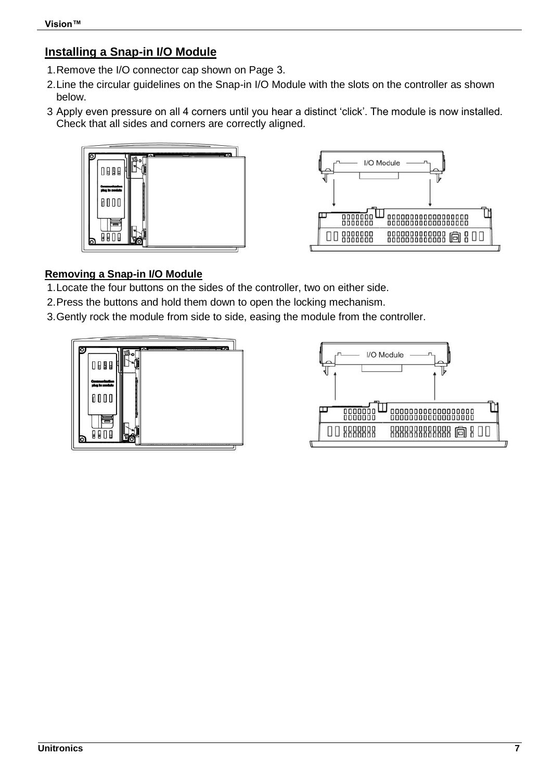# **Installing a Snap-in I/O Module**

- 1.Remove the I/O connector cap shown on Page 3.
- 2.Line the circular guidelines on the Snap-in I/O Module with the slots on the controller as shown below.
- 3 Apply even pressure on all 4 corners until you hear a distinct 'click'. The module is now installed. Check that all sides and corners are correctly aligned.





# **Removing a Snap-in I/O Module**

- 1.Locate the four buttons on the sides of the controller, two on either side.
- 2.Press the buttons and hold them down to open the locking mechanism.
- 3.Gently rock the module from side to side, easing the module from the controller.